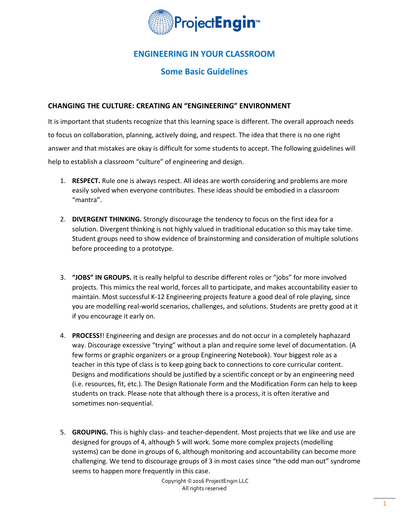

# **ENGINEERING IN YOUR CLASSROOM**

## **Some Basic Guidelines**

## **CHANGING THE CULTURE: CREATING AN "ENGINEERING" ENVIRONMENT**

It is important that students recognize that this learning space is different. The overall approach needs to focus on collaboration, planning, actively doing, and respect. The idea that there is no one right answer and that mistakes are okay is difficult for some students to accept. The following guidelines will help to establish a classroom "culture" of engineering and design.

- 1. **RESPECT.** Rule one is always respect. All ideas are worth considering and problems are more easily solved when everyone contributes. These ideas should be embodied in a classroom "mantra".
- 2. **DIVERGENT THINKING.** Strongly discourage the tendency to focus on the first idea for a solution. Divergent thinking is not highly valued in traditional education so this may take time. Student groups need to show evidence of brainstorming and consideration of multiple solutions before proceeding to a prototype.
- 3. **"JOBS" IN GROUPS.** It is really helpful to describe different roles or "jobs" for more involved projects. This mimics the real world, forces all to participate, and makes accountability easier to maintain. Most successful K-12 Engineering projects feature a good deal of role playing, since you are modelling real-world scenarios, challenges, and solutions. Students are pretty good at it if you encourage it early on.
- 4. **PROCESS!**! Engineering and design are processes and do not occur in a completely haphazard way. Discourage excessive "trying" without a plan and require some level of documentation. (A few forms or graphic organizers or a group Engineering Notebook). Your biggest role as a teacher in this type of class is to keep going back to connections to core curricular content. Designs and modifications should be justified by a scientific concept or by an engineering need (i.e. resources, fit, etc.). The Design Rationale Form and the Modification Form can help to keep students on track. Please note that although there is a process, it is often iterative and sometimes non-sequential.
- 5. **GROUPING.** This is highly class- and teacher-dependent. Most projects that we like and use are designed for groups of 4, although 5 will work. Some more complex projects (modelling systems) can be done in groups of 6, although monitoring and accountability can become more challenging. We tend to discourage groups of 3 in most cases since "the odd man out" syndrome seems to happen more frequently in this case.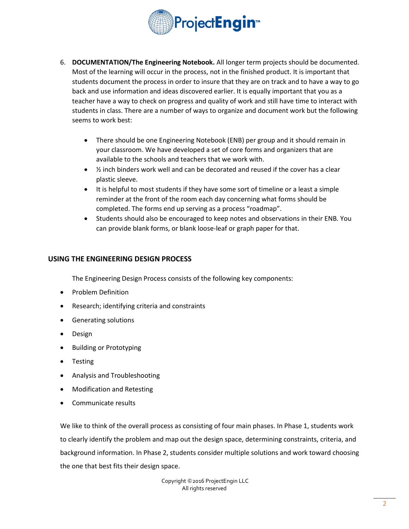

- 6. **DOCUMENTATION/The Engineering Notebook.** All longer term projects should be documented. Most of the learning will occur in the process, not in the finished product. It is important that students document the process in order to insure that they are on track and to have a way to go back and use information and ideas discovered earlier. It is equally important that you as a teacher have a way to check on progress and quality of work and still have time to interact with students in class. There are a number of ways to organize and document work but the following seems to work best:
	- There should be one Engineering Notebook (ENB) per group and it should remain in your classroom. We have developed a set of core forms and organizers that are available to the schools and teachers that we work with.
	- $\bullet$  % inch binders work well and can be decorated and reused if the cover has a clear plastic sleeve.
	- It is helpful to most students if they have some sort of timeline or a least a simple reminder at the front of the room each day concerning what forms should be completed. The forms end up serving as a process "roadmap".
	- Students should also be encouraged to keep notes and observations in their ENB. You can provide blank forms, or blank loose-leaf or graph paper for that.

## **USING THE ENGINEERING DESIGN PROCESS**

The Engineering Design Process consists of the following key components:

- Problem Definition
- Research; identifying criteria and constraints
- Generating solutions
- Design
- Building or Prototyping
- **Testing**
- Analysis and Troubleshooting
- Modification and Retesting
- Communicate results

We like to think of the overall process as consisting of four main phases. In Phase 1, students work to clearly identify the problem and map out the design space, determining constraints, criteria, and background information. In Phase 2, students consider multiple solutions and work toward choosing the one that best fits their design space.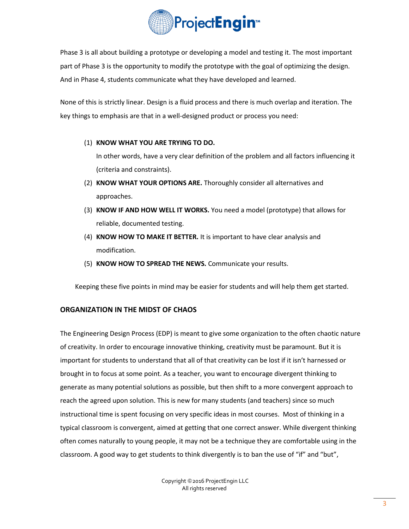

Phase 3 is all about building a prototype or developing a model and testing it. The most important part of Phase 3 is the opportunity to modify the prototype with the goal of optimizing the design. And in Phase 4, students communicate what they have developed and learned.

None of this is strictly linear. Design is a fluid process and there is much overlap and iteration. The key things to emphasis are that in a well-designed product or process you need:

(1) **KNOW WHAT YOU ARE TRYING TO DO.**

In other words, have a very clear definition of the problem and all factors influencing it (criteria and constraints).

- (2) **KNOW WHAT YOUR OPTIONS ARE.** Thoroughly consider all alternatives and approaches.
- (3) **KNOW IF AND HOW WELL IT WORKS.** You need a model (prototype) that allows for reliable, documented testing.
- (4) **KNOW HOW TO MAKE IT BETTER.** It is important to have clear analysis and modification.
- (5) **KNOW HOW TO SPREAD THE NEWS.** Communicate your results.

Keeping these five points in mind may be easier for students and will help them get started.

## **ORGANIZATION IN THE MIDST OF CHAOS**

The Engineering Design Process (EDP) is meant to give some organization to the often chaotic nature of creativity. In order to encourage innovative thinking, creativity must be paramount. But it is important for students to understand that all of that creativity can be lost if it isn't harnessed or brought in to focus at some point. As a teacher, you want to encourage divergent thinking to generate as many potential solutions as possible, but then shift to a more convergent approach to reach the agreed upon solution. This is new for many students (and teachers) since so much instructional time is spent focusing on very specific ideas in most courses. Most of thinking in a typical classroom is convergent, aimed at getting that one correct answer. While divergent thinking often comes naturally to young people, it may not be a technique they are comfortable using in the classroom. A good way to get students to think divergently is to ban the use of "if" and "but",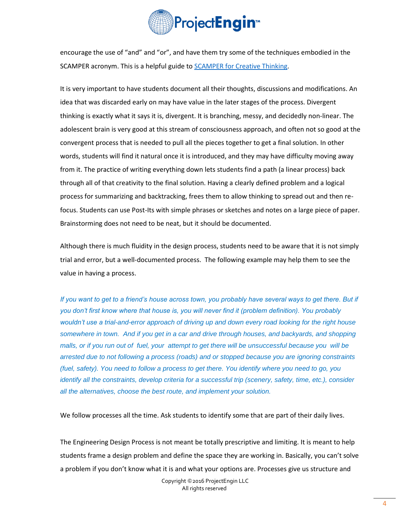

encourage the use of "and" and "or", and have them try some of the techniques embodied in the SCAMPER acronym. This is a helpful guide to **SCAMPER** for Creative Thinking.

It is very important to have students document all their thoughts, discussions and modifications. An idea that was discarded early on may have value in the later stages of the process. Divergent thinking is exactly what it says it is, divergent. It is branching, messy, and decidedly non-linear. The adolescent brain is very good at this stream of consciousness approach, and often not so good at the convergent process that is needed to pull all the pieces together to get a final solution. In other words, students will find it natural once it is introduced, and they may have difficulty moving away from it. The practice of writing everything down lets students find a path (a linear process) back through all of that creativity to the final solution. Having a clearly defined problem and a logical process for summarizing and backtracking, frees them to allow thinking to spread out and then refocus. Students can use Post-Its with simple phrases or sketches and notes on a large piece of paper. Brainstorming does not need to be neat, but it should be documented.

Although there is much fluidity in the design process, students need to be aware that it is not simply trial and error, but a well-documented process. The following example may help them to see the value in having a process.

*If you want to get to a friend's house across town, you probably have several ways to get there. But if you don't first know where that house is, you will never find it (problem definition). You probably wouldn't use a trial-and-error approach of driving up and down every road looking for the right house somewhere in town. And if you get in a car and drive through houses, and backyards, and shopping malls, or if you run out of fuel, your attempt to get there will be unsuccessful because you will be arrested due to not following a process (roads) and or stopped because you are ignoring constraints (fuel, safety). You need to follow a process to get there. You identify where you need to go, you identify all the constraints, develop criteria for a successful trip (scenery, safety, time, etc.), consider all the alternatives, choose the best route, and implement your solution.*

We follow processes all the time. Ask students to identify some that are part of their daily lives.

The Engineering Design Process is not meant be totally prescriptive and limiting. It is meant to help students frame a design problem and define the space they are working in. Basically, you can't solve a problem if you don't know what it is and what your options are. Processes give us structure and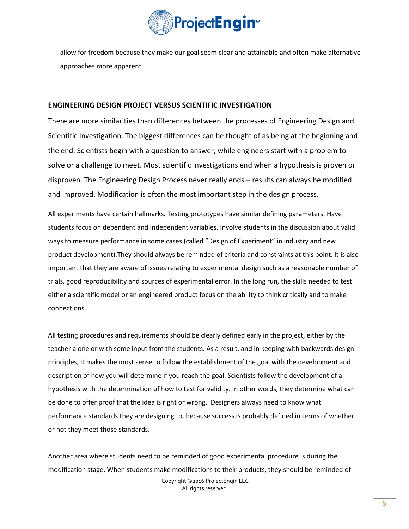

allow for freedom because they make our goal seem clear and attainable and often make alternative approaches more apparent.

#### **ENGINEERING DESIGN PROJECT VERSUS SCIENTIFIC INVESTIGATION**

There are more similarities than differences between the processes of Engineering Design and Scientific Investigation. The biggest differences can be thought of as being at the beginning and the end. Scientists begin with a question to answer, while engineers start with a problem to solve or a challenge to meet. Most scientific investigations end when a hypothesis is proven or disproven. The Engineering Design Process never really ends – results can always be modified and improved. Modification is often the most important step in the design process.

All experiments have certain hallmarks. Testing prototypes have similar defining parameters. Have students focus on dependent and independent variables. Involve students in the discussion about valid ways to measure performance in some cases (called "Design of Experiment" in industry and new product development).They should always be reminded of criteria and constraints at this point. It is also important that they are aware of issues relating to experimental design such as a reasonable number of trials, good reproducibility and sources of experimental error. In the long run, the skills needed to test either a scientific model or an engineered product focus on the ability to think critically and to make connections.

All testing procedures and requirements should be clearly defined early in the project, either by the teacher alone or with some input from the students. As a result, and in keeping with backwards design principles, it makes the most sense to follow the establishment of the goal with the development and description of how you will determine if you reach the goal. Scientists follow the development of a hypothesis with the determination of how to test for validity. In other words, they determine what can be done to offer proof that the idea is right or wrong. Designers always need to know what performance standards they are designing to, because success is probably defined in terms of whether or not they meet those standards.

Copyright ©2016 ProjectEngin LLC All rights reserved Another area where students need to be reminded of good experimental procedure is during the modification stage. When students make modifications to their products, they should be reminded of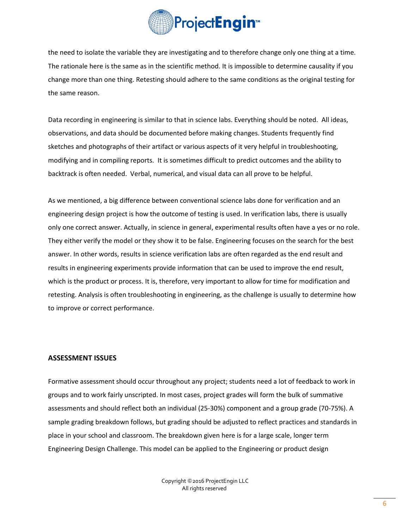

the need to isolate the variable they are investigating and to therefore change only one thing at a time. The rationale here is the same as in the scientific method. It is impossible to determine causality if you change more than one thing. Retesting should adhere to the same conditions as the original testing for the same reason.

Data recording in engineering is similar to that in science labs. Everything should be noted. All ideas, observations, and data should be documented before making changes. Students frequently find sketches and photographs of their artifact or various aspects of it very helpful in troubleshooting, modifying and in compiling reports. It is sometimes difficult to predict outcomes and the ability to backtrack is often needed. Verbal, numerical, and visual data can all prove to be helpful.

As we mentioned, a big difference between conventional science labs done for verification and an engineering design project is how the outcome of testing is used. In verification labs, there is usually only one correct answer. Actually, in science in general, experimental results often have a yes or no role. They either verify the model or they show it to be false. Engineering focuses on the search for the best answer. In other words, results in science verification labs are often regarded as the end result and results in engineering experiments provide information that can be used to improve the end result, which is the product or process. It is, therefore, very important to allow for time for modification and retesting. Analysis is often troubleshooting in engineering, as the challenge is usually to determine how to improve or correct performance.

#### **ASSESSMENT ISSUES**

Formative assessment should occur throughout any project; students need a lot of feedback to work in groups and to work fairly unscripted. In most cases, project grades will form the bulk of summative assessments and should reflect both an individual (25-30%) component and a group grade (70-75%). A sample grading breakdown follows, but grading should be adjusted to reflect practices and standards in place in your school and classroom. The breakdown given here is for a large scale, longer term Engineering Design Challenge. This model can be applied to the Engineering or product design